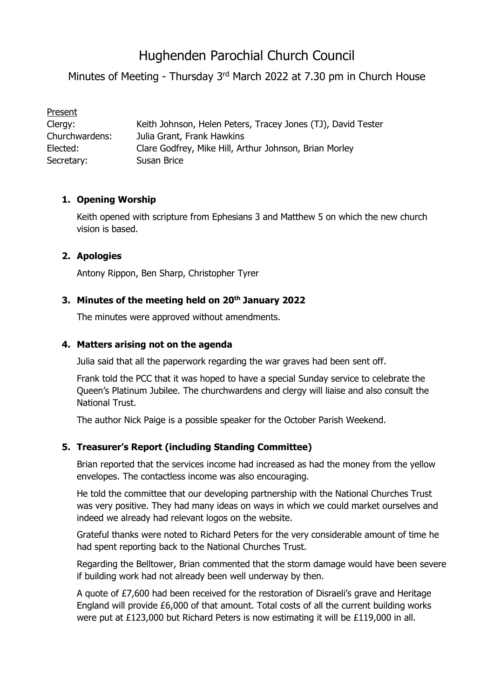# Hughenden Parochial Church Council

Minutes of Meeting - Thursday 3<sup>rd</sup> March 2022 at 7.30 pm in Church House

| Present        |                                                              |
|----------------|--------------------------------------------------------------|
| Clergy:        | Keith Johnson, Helen Peters, Tracey Jones (TJ), David Tester |
| Churchwardens: | Julia Grant, Frank Hawkins                                   |
| Elected:       | Clare Godfrey, Mike Hill, Arthur Johnson, Brian Morley       |
| Secretary:     | Susan Brice                                                  |

# **1. Opening Worship**

Keith opened with scripture from Ephesians 3 and Matthew 5 on which the new church vision is based.

# **2. Apologies**

Antony Rippon, Ben Sharp, Christopher Tyrer

# **3. Minutes of the meeting held on 20th January 2022**

The minutes were approved without amendments.

#### **4. Matters arising not on the agenda**

Julia said that all the paperwork regarding the war graves had been sent off.

Frank told the PCC that it was hoped to have a special Sunday service to celebrate the Queen's Platinum Jubilee. The churchwardens and clergy will liaise and also consult the National Trust.

The author Nick Paige is a possible speaker for the October Parish Weekend.

# **5. Treasurer's Report (including Standing Committee)**

Brian reported that the services income had increased as had the money from the yellow envelopes. The contactless income was also encouraging.

He told the committee that our developing partnership with the National Churches Trust was very positive. They had many ideas on ways in which we could market ourselves and indeed we already had relevant logos on the website.

Grateful thanks were noted to Richard Peters for the very considerable amount of time he had spent reporting back to the National Churches Trust.

Regarding the Belltower, Brian commented that the storm damage would have been severe if building work had not already been well underway by then.

A quote of £7,600 had been received for the restoration of Disraeli's grave and Heritage England will provide £6,000 of that amount. Total costs of all the current building works were put at £123,000 but Richard Peters is now estimating it will be £119,000 in all.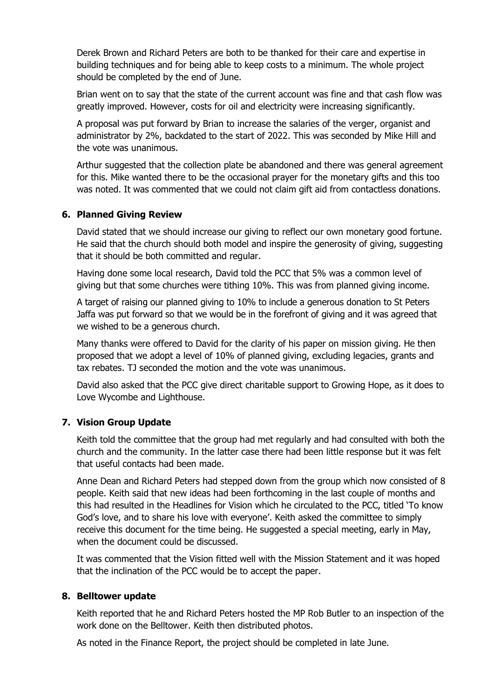Derek Brown and Richard Peters are both to be thanked for their care and expertise in building techniques and for being able to keep costs to a minimum. The whole project should be completed by the end of June.

Brian went on to say that the state of the current account was fine and that cash flow was greatly improved. However, costs for oil and electricity were increasing significantly.

A proposal was put forward by Brian to increase the salaries of the verger, organist and administrator by 2%, backdated to the start of 2022. This was seconded by Mike Hill and the vote was unanimous.

Arthur suggested that the collection plate be abandoned and there was general agreement for this. Mike wanted there to be the occasional prayer for the monetary gifts and this too was noted. It was commented that we could not claim gift aid from contactless donations.

#### **6. Planned Giving Review**

David stated that we should increase our giving to reflect our own monetary good fortune. He said that the church should both model and inspire the generosity of giving, suggesting that it should be both committed and regular.

Having done some local research, David told the PCC that 5% was a common level of giving but that some churches were tithing 10%. This was from planned giving income.

A target of raising our planned giving to 10% to include a generous donation to St Peters Jaffa was put forward so that we would be in the forefront of giving and it was agreed that we wished to be a generous church.

Many thanks were offered to David for the clarity of his paper on mission giving. He then proposed that we adopt a level of 10% of planned giving, excluding legacies, grants and tax rebates. TJ seconded the motion and the vote was unanimous.

David also asked that the PCC give direct charitable support to Growing Hope, as it does to Love Wycombe and Lighthouse.

#### **7. Vision Group Update**

Keith told the committee that the group had met regularly and had consulted with both the church and the community. In the latter case there had been little response but it was felt that useful contacts had been made.

Anne Dean and Richard Peters had stepped down from the group which now consisted of 8 people. Keith said that new ideas had been forthcoming in the last couple of months and this had resulted in the Headlines for Vision which he circulated to the PCC, titled 'To know God's love, and to share his love with everyone'. Keith asked the committee to simply receive this document for the time being. He suggested a special meeting, early in May, when the document could be discussed.

It was commented that the Vision fitted well with the Mission Statement and it was hoped that the inclination of the PCC would be to accept the paper.

#### **8. Belltower update**

Keith reported that he and Richard Peters hosted the MP Rob Butler to an inspection of the work done on the Belltower. Keith then distributed photos.

As noted in the Finance Report, the project should be completed in late June.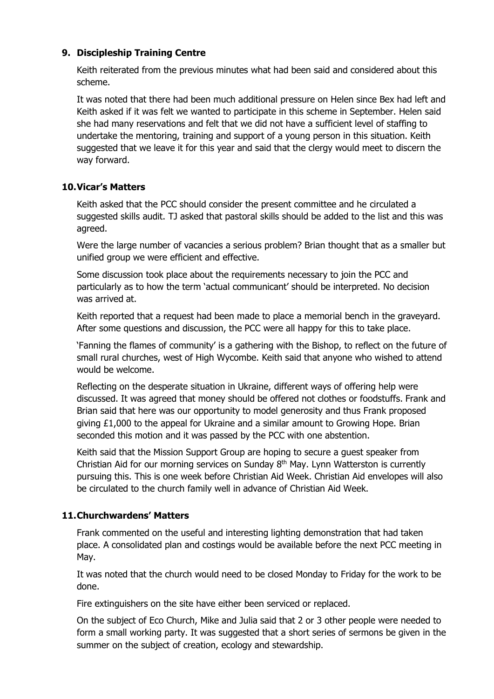# **9. Discipleship Training Centre**

Keith reiterated from the previous minutes what had been said and considered about this scheme.

It was noted that there had been much additional pressure on Helen since Bex had left and Keith asked if it was felt we wanted to participate in this scheme in September. Helen said she had many reservations and felt that we did not have a sufficient level of staffing to undertake the mentoring, training and support of a young person in this situation. Keith suggested that we leave it for this year and said that the clergy would meet to discern the way forward.

# **10.Vicar's Matters**

Keith asked that the PCC should consider the present committee and he circulated a suggested skills audit. TJ asked that pastoral skills should be added to the list and this was agreed.

Were the large number of vacancies a serious problem? Brian thought that as a smaller but unified group we were efficient and effective.

Some discussion took place about the requirements necessary to join the PCC and particularly as to how the term 'actual communicant' should be interpreted. No decision was arrived at.

Keith reported that a request had been made to place a memorial bench in the graveyard. After some questions and discussion, the PCC were all happy for this to take place.

'Fanning the flames of community' is a gathering with the Bishop, to reflect on the future of small rural churches, west of High Wycombe. Keith said that anyone who wished to attend would be welcome.

Reflecting on the desperate situation in Ukraine, different ways of offering help were discussed. It was agreed that money should be offered not clothes or foodstuffs. Frank and Brian said that here was our opportunity to model generosity and thus Frank proposed giving £1,000 to the appeal for Ukraine and a similar amount to Growing Hope. Brian seconded this motion and it was passed by the PCC with one abstention.

Keith said that the Mission Support Group are hoping to secure a guest speaker from Christian Aid for our morning services on Sunday 8<sup>th</sup> May. Lynn Watterston is currently pursuing this. This is one week before Christian Aid Week. Christian Aid envelopes will also be circulated to the church family well in advance of Christian Aid Week.

# **11.Churchwardens' Matters**

Frank commented on the useful and interesting lighting demonstration that had taken place. A consolidated plan and costings would be available before the next PCC meeting in May.

It was noted that the church would need to be closed Monday to Friday for the work to be done.

Fire extinguishers on the site have either been serviced or replaced.

On the subject of Eco Church, Mike and Julia said that 2 or 3 other people were needed to form a small working party. It was suggested that a short series of sermons be given in the summer on the subject of creation, ecology and stewardship.